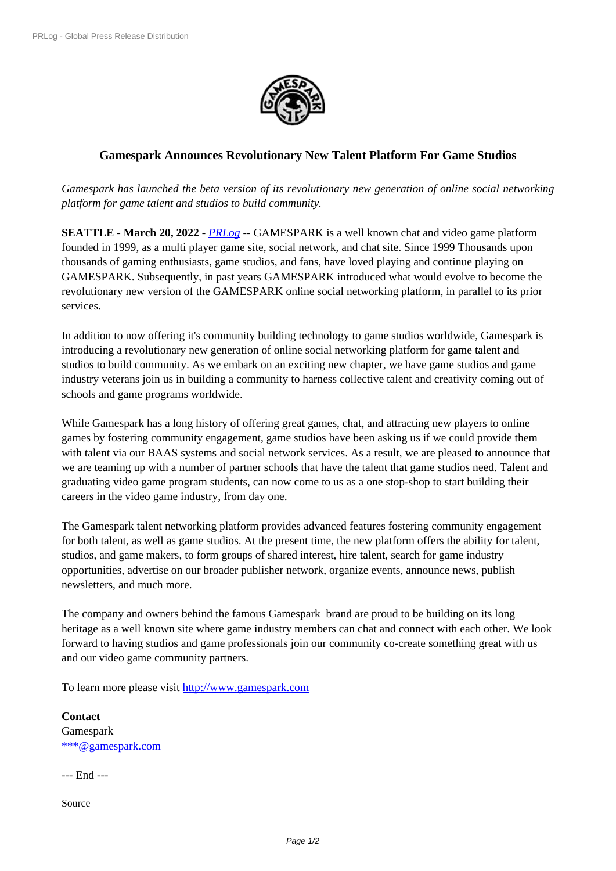

## **Gamespark Announces Revol[utionary New](https://biz.prlog.org/gamespark/) Talent Platform For Game Studios**

*Gamespark has launched the beta version of its revolutionary new generation of online social networking platform for game talent and studios to build community.*

**SEATTLE** - **March 20, 2022** - *PRLog* -- GAMESPARK is a well known chat and video game platform founded in 1999, as a multi player game site, social network, and chat site. Since 1999 Thousands upon thousands of gaming enthusiasts, game studios, and fans, have loved playing and continue playing on GAMESPARK. Subsequently, in past years GAMESPARK introduced what would evolve to become the revolutionary new version of th[e GAME](https://www.prlog.org)SPARK online social networking platform, in parallel to its prior services.

In addition to now offering it's community building technology to game studios worldwide, Gamespark is introducing a revolutionary new generation of online social networking platform for game talent and studios to build community. As we embark on an exciting new chapter, we have game studios and game industry veterans join us in building a community to harness collective talent and creativity coming out of schools and game programs worldwide.

While Gamespark has a long history of offering great games, chat, and attracting new players to online games by fostering community engagement, game studios have been asking us if we could provide them with talent via our BAAS systems and social network services. As a result, we are pleased to announce that we are teaming up with a number of partner schools that have the talent that game studios need. Talent and graduating video game program students, can now come to us as a one stop-shop to start building their careers in the video game industry, from day one.

The Gamespark talent networking platform provides advanced features fostering community engagement for both talent, as well as game studios. At the present time, the new platform offers the ability for talent, studios, and game makers, to form groups of shared interest, hire talent, search for game industry opportunities, advertise on our broader publisher network, organize events, announce news, publish newsletters, and much more.

The company and owners behind the famous Gamespark brand are proud to be building on its long heritage as a well known site where game industry members can chat and connect with each other. We look forward to having studios and game professionals join our community co-create something great with us and our video game community partners.

To learn more please visit http://www.gamespark.com

**Contact** Gamespark \*\*\*@gamespark.com

--- End ---

[Source](https://www.prlog.org/email-contact.html#12909764)